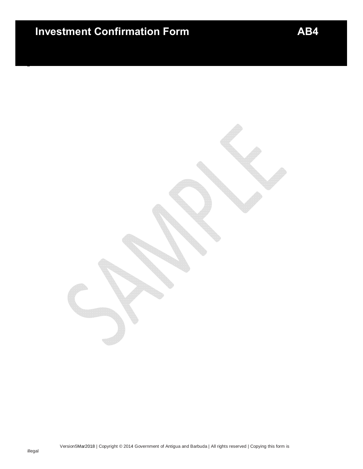## **Investment Confirmation Form AB4**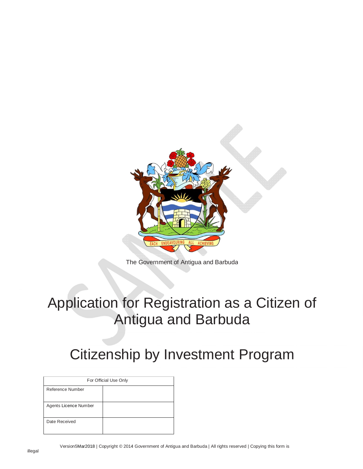

The Government of Antigua and Barbuda

# Application for Registration as a Citizen of Antigua and Barbuda

# Citizenship by Investment Program

| For Official Use Only |  |
|-----------------------|--|
| Reference Number      |  |
| Agents Licence Number |  |
| Date Received         |  |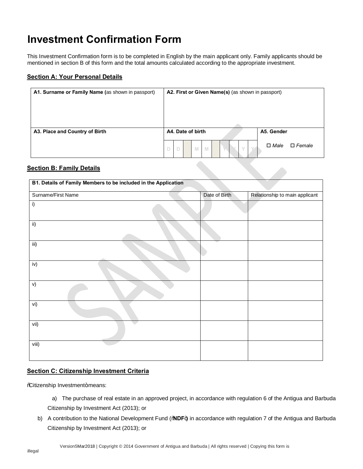## **Investment Confirmation Form**

This Investment Confirmation form is to be completed in English by the main applicant only. Family applicants should be mentioned in section B of this form and the total amounts calculated according to the appropriate investment.

#### **Section A: Your Personal Details**

| A1. Surname or Family Name (as shown in passport) | A2. First or Given Name(s) (as shown in passport) |  |
|---------------------------------------------------|---------------------------------------------------|--|
| A3. Place and Country of Birth                    | A4. Date of birth<br>A5. Gender                   |  |
|                                                   | $\Box$ Male<br>$\Box$ Female<br>$\Box$<br>M<br>M  |  |
| <b>Section B: Family Details</b>                  |                                                   |  |

#### **Section B: Family Details**

| B1. Details of Family Members to be included in the Application |               |                                |  |
|-----------------------------------------------------------------|---------------|--------------------------------|--|
| Surname/First Name                                              | Date of Birth | Relationship to main applicant |  |
| i)                                                              |               |                                |  |
| ii)                                                             |               |                                |  |
| iii)                                                            |               |                                |  |
| iv)                                                             |               |                                |  |
| V)                                                              |               |                                |  |
| vi)                                                             |               |                                |  |
| vii)                                                            |               |                                |  |
| viii)                                                           |               |                                |  |

#### **Section C: Citizenship Investment Criteria**

%Gitizenship Investment+means:

a) The purchase of real estate in an approved project, in accordance with regulation 6 of the Antigua and Barbuda Citizenship by Investment Act (2013); or

b) A contribution to the National Development Fund (%NDF+) in accordance with regulation 7 of the Antigua and Barbuda Citizenship by Investment Act (2013); or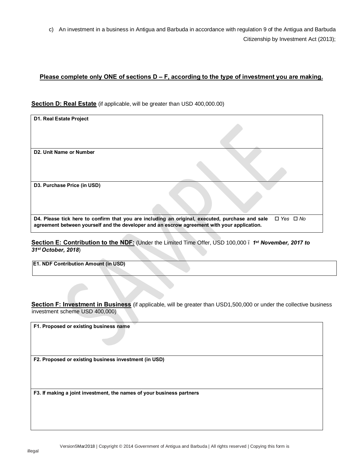c) An investment in a business in Antigua and Barbuda in accordance with regulation 9 of the Antigua and Barbuda Citizenship by Investment Act (2013);

#### **Please complete only ONE of sections D – F, according to the type of investment you are making.**

#### **Section D: Real Estate** (if applicable, will be greater than USD 400,000.00)

| D1. Real Estate Project              |                                                                                                                                                                                                                        |
|--------------------------------------|------------------------------------------------------------------------------------------------------------------------------------------------------------------------------------------------------------------------|
|                                      |                                                                                                                                                                                                                        |
|                                      |                                                                                                                                                                                                                        |
|                                      |                                                                                                                                                                                                                        |
| D <sub>2</sub> . Unit Name or Number |                                                                                                                                                                                                                        |
|                                      |                                                                                                                                                                                                                        |
|                                      |                                                                                                                                                                                                                        |
|                                      |                                                                                                                                                                                                                        |
| D3. Purchase Price (in USD)          |                                                                                                                                                                                                                        |
|                                      |                                                                                                                                                                                                                        |
|                                      |                                                                                                                                                                                                                        |
|                                      |                                                                                                                                                                                                                        |
|                                      | D4. Please tick here to confirm that you are including an original, executed, purchase and sale<br>$\Box$ Yes $\Box$ No<br>agreement between yourself and the developer and an escrow agreement with your application. |
|                                      |                                                                                                                                                                                                                        |

| Section E: Contribution to the NDF: (Under the Limited Time Offer, USD 100,000 . 1 <sup>st</sup> November, 2017 to |  |  |  |  |
|--------------------------------------------------------------------------------------------------------------------|--|--|--|--|
| 31st October, 2018)                                                                                                |  |  |  |  |

**E1. NDF Contribution Amount (in USD)** 

**Section F: Investment in Business** (if applicable, will be greater than USD1,500,000 or under the collective business investment scheme USD 400,000)

**F1. Proposed or existing business name** 

**F2. Proposed or existing business investment (in USD)** 

**F3. If making a joint investment, the names of your business partners**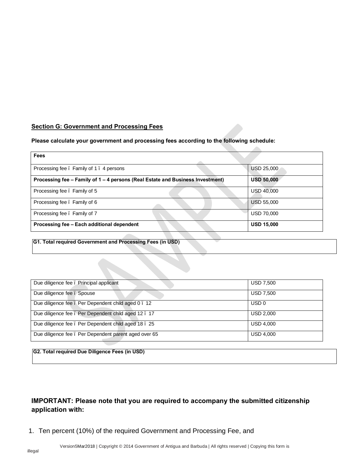#### **Section G: Government and Processing Fees**

#### **Please calculate your government and processing fees according to the following schedule:**

| Fees                                                                           |                   |
|--------------------------------------------------------------------------------|-------------------|
| Processing fee. Family of 1. 4 persons                                         | <b>USD 25,000</b> |
| Processing fee – Family of 1 – 4 persons (Real Estate and Business Investment) | <b>USD 50,000</b> |
| Processing fee. Family of 5                                                    | USD 40,000        |
| Processing fee. Family of 6                                                    | <b>USD 55,000</b> |
| Processing fee. Family of 7                                                    | <b>USD 70,000</b> |
| Processing fee - Each additional dependent                                     | <b>USD 15,000</b> |

### **G1. Total required Government and Processing Fees (in USD)**

| Due diligence fee . Principal applicant               | <b>USD 7,500</b> |
|-------------------------------------------------------|------------------|
| Due diligence fee . Spouse                            | <b>USD 7,500</b> |
| Due diligence fee . Per Dependent child aged 0 . 12   | USD <sub>0</sub> |
| Due diligence fee. Per Dependent child aged 12. 17    | <b>USD 2,000</b> |
| Due diligence fee . Per Dependent child aged 18 . 25  | <b>USD 4,000</b> |
| Due diligence fee . Per Dependent parent aged over 65 | <b>USD 4.000</b> |

**G2. Total required Due Diligence Fees (in USD)** 

### **IMPORTANT: Please note that you are required to accompany the submitted citizenship application with:**

1. Ten percent (10%) of the required Government and Processing Fee, and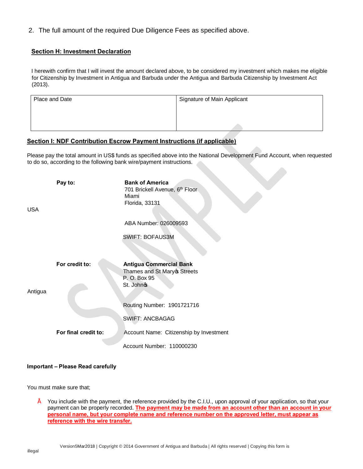2. The full amount of the required Due Diligence Fees as specified above.

#### **Section H: Investment Declaration**

I herewith confirm that I will invest the amount declared above, to be considered my investment which makes me eligible for Citizenship by Investment in Antigua and Barbuda under the Antigua and Barbuda Citizenship by Investment Act (2013).

| Place and Date | Signature of Main Applicant |
|----------------|-----------------------------|
|                |                             |
|                |                             |
|                |                             |

#### **Section I: NDF Contribution Escrow Payment Instructions (if applicable)**

Please pay the total amount in US\$ funds as specified above into the National Development Fund Account, when requested to do so, according to the following bank wire/payment instructions.

| USA     | Pay to:              | <b>Bank of America</b><br>701 Brickell Avenue, 6th Floor<br>Miami<br>Florida, 33131          |
|---------|----------------------|----------------------------------------------------------------------------------------------|
|         |                      | ABA Number: 026009593                                                                        |
|         |                      | <b>SWIFT: BOFAUS3M</b>                                                                       |
|         |                      |                                                                                              |
| Antigua | For credit to:       | <b>Antigua Commercial Bank</b><br>Thames and St Maryos Streets<br>P. O. Box 95<br>St. Johnos |
|         |                      | Routing Number: 1901721716                                                                   |
|         |                      | <b>SWIFT: ANCBAGAG</b>                                                                       |
|         | For final credit to: | Account Name: Citizenship by Investment                                                      |
|         |                      | Account Number: 110000230                                                                    |

#### **Important – Please Read carefully**

You must make sure that;

• You include with the payment, the reference provided by the C.I.U., upon approval of your application, so that your payment can be properly recorded. **The payment may be made from an account other than an account in your personal name, but your complete name and reference number on the approved letter, must appear as reference with the wire transfer.**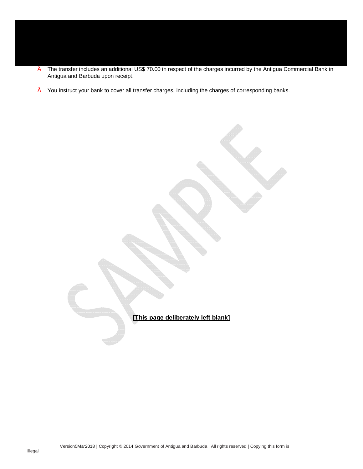• The transfer includes an additional US\$ 70.00 in respect of the charges incurred by the Antigua Commercial Bank in Antigua and Barbuda upon receipt.

• You instruct your bank to cover all transfer charges, including the charges of corresponding banks.

**[This page deliberately left blank]**